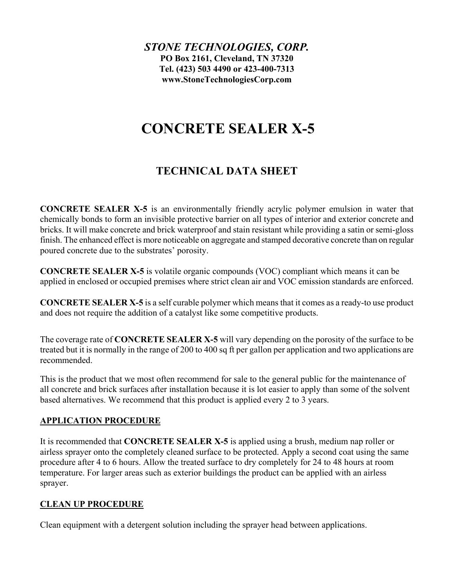*STONE TECHNOLOGIES, CORP.* **PO Box 2161, Cleveland, TN 37320 Tel. (423) 503 4490 or 423-400-7313 www.StoneTechnologiesCorp.com**

# **CONCRETE SEALER X-5**

## **TECHNICAL DATA SHEET**

**CONCRETE SEALER X-5** is an environmentally friendly acrylic polymer emulsion in water that chemically bonds to form an invisible protective barrier on all types of interior and exterior concrete and bricks. It will make concrete and brick waterproof and stain resistant while providing a satin or semi-gloss finish. The enhanced effect is more noticeable on aggregate and stamped decorative concrete than on regular poured concrete due to the substrates' porosity.

**CONCRETE SEALER X-5** is volatile organic compounds (VOC) compliant which means it can be applied in enclosed or occupied premises where strict clean air and VOC emission standards are enforced.

**CONCRETE SEALER X-5** is a self curable polymer which means that it comes as a ready-to use product and does not require the addition of a catalyst like some competitive products.

The coverage rate of **CONCRETE SEALER X-5** will vary depending on the porosity of the surface to be treated but it is normally in the range of 200 to 400 sq ft per gallon per application and two applications are recommended.

This is the product that we most often recommend for sale to the general public for the maintenance of all concrete and brick surfaces after installation because it is lot easier to apply than some of the solvent based alternatives. We recommend that this product is applied every 2 to 3 years.

#### **APPLICATION PROCEDURE**

It is recommended that **CONCRETE SEALER X-5** is applied using a brush, medium nap roller or airless sprayer onto the completely cleaned surface to be protected. Apply a second coat using the same procedure after 4 to 6 hours. Allow the treated surface to dry completely for 24 to 48 hours at room temperature. For larger areas such as exterior buildings the product can be applied with an airless sprayer.

### **CLEAN UP PROCEDURE**

Clean equipment with a detergent solution including the sprayer head between applications.